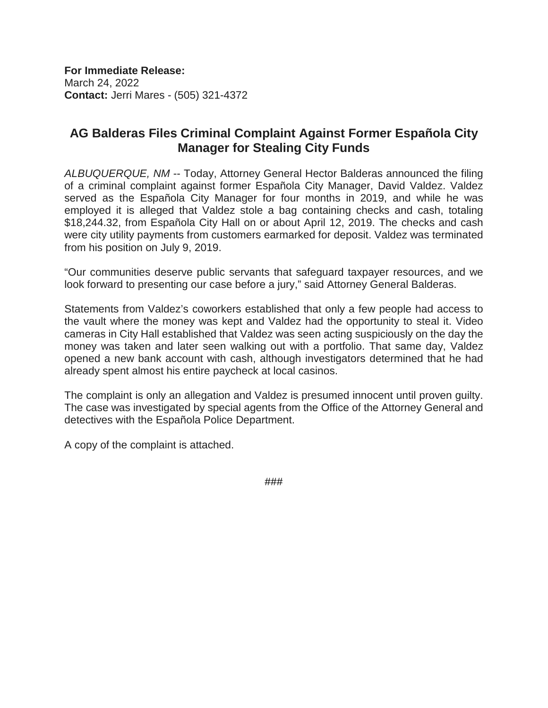**For Immediate Release:** March 24, 2022 **Contact:** Jerri Mares - (505) 321-4372

# **AG Balderas Files Criminal Complaint Against Former Española City Manager for Stealing City Funds**

*ALBUQUERQUE, NM* -- Today, Attorney General Hector Balderas announced the filing of a criminal complaint against former Española City Manager, David Valdez. Valdez served as the Española City Manager for four months in 2019, and while he was employed it is alleged that Valdez stole a bag containing checks and cash, totaling \$18,244.32, from Española City Hall on or about April 12, 2019. The checks and cash were city utility payments from customers earmarked for deposit. Valdez was terminated from his position on July 9, 2019.

"Our communities deserve public servants that safeguard taxpayer resources, and we look forward to presenting our case before a jury," said Attorney General Balderas.

Statements from Valdez's coworkers established that only a few people had access to the vault where the money was kept and Valdez had the opportunity to steal it. Video cameras in City Hall established that Valdez was seen acting suspiciously on the day the money was taken and later seen walking out with a portfolio. That same day, Valdez opened a new bank account with cash, although investigators determined that he had already spent almost his entire paycheck at local casinos.

The complaint is only an allegation and Valdez is presumed innocent until proven guilty. The case was investigated by special agents from the Office of the Attorney General and detectives with the Española Police Department.

A copy of the complaint is attached.

###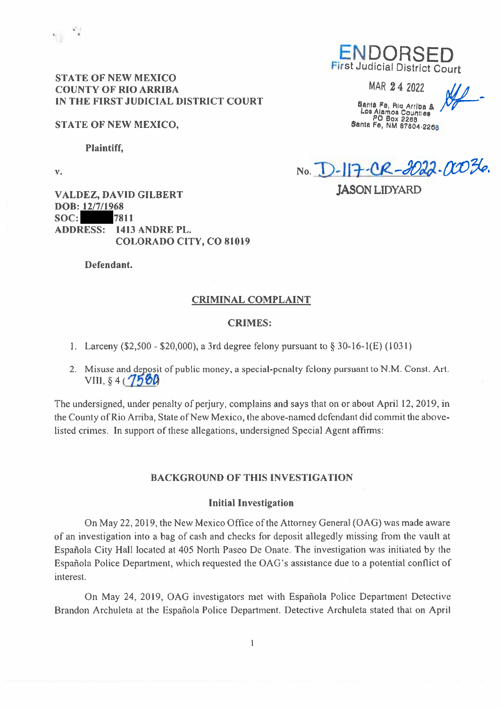

### **STATE OF NEW MEXICO COUNTY OF RIO ARRIBA** IN THE FIRST JUDICIAL DISTRICT COURT

### **STATE OF NEW MEXICO,**

**Plaintiff,** 

 $V_{\bullet}$ 

**ENDORS** First Judicial District Court

MAR 24 2022

Santa Fe, Rio Arriba &<br>Los Alamos Counties<br>PO Box 2288 Santa Fe, NM 87504-2268

No. D-117-CR-2022.0036. **IASON LIDYARD** 

**VALDEZ, DAVID GILBERT** DOB: 12/7/1968  $SOC:$ 7811 **ADDRESS: 1413 ANDRE PL. COLORADO CITY, CO 81019** 

Defendant.

### **CRIMINAL COMPLAINT**

### **CRIMES:**

1. Larceny (\$2,500 - \$20,000), a 3rd degree felony pursuant to  $\S$  30-16-1(E) (1031)

2. Misuse and deposit of public money, a special-penalty felony pursuant to N.M. Const. Art.  $VIII.$  \$4 ( $7500$ 

The undersigned, under penalty of perjury, complains and says that on or about April 12, 2019, in the County of Rio Arriba, State of New Mexico, the above-named defendant did commit the abovelisted crimes. In support of these allegations, undersigned Special Agent affirms:

### **BACKGROUND OF THIS INVESTIGATION**

### **Initial Investigation**

On May 22, 2019, the New Mexico Office of the Attorney General (OAG) was made aware of an investigation into a bag of cash and checks for deposit allegedly missing from the vault at Española City Hall located at 405 North Paseo De Onate. The investigation was initiated by the Española Police Department, which requested the OAG's assistance due to a potential conflict of interest.

On May 24, 2019, OAG investigators met with Española Police Department Detective Brandon Archuleta at the Española Police Department. Detective Archuleta stated that on April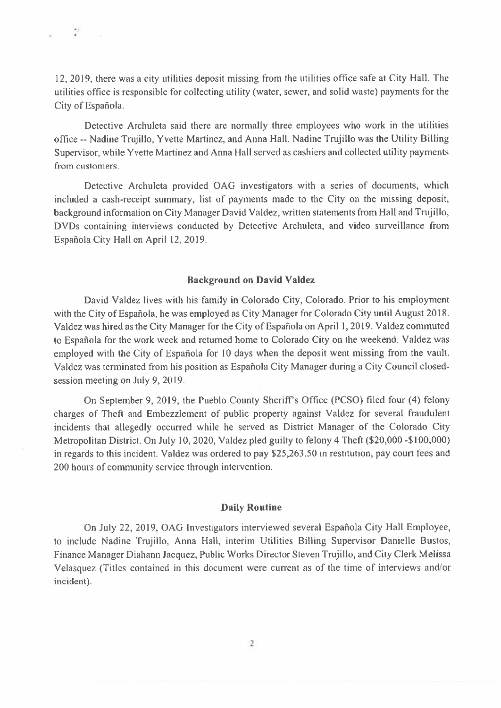12, 2019, there was a city utilities deposit missing from the utilities office safe at City Hall. The utilities office is responsible for collecting utility (water, sewer, and solid waste) payments for the City of Española.

Detective Archuleta said there are normally three employees who work in the utilities office -- Nadine Trujillo, Yvette Martinez, and Anna Hall. Nadine Trujillo was the Utility Billing Supervisor, while Yvette Martinez and Anna Hall served as cashiers and collected utility payments from customers.

Detective Archuleta provided OAG investigators with a series of documents, which included a cash-receipt summary, list of payments made to the City on the missing deposit, background information on City Manager David Valdez, written statements from Hall and Trujillo, DVDs containing interviews conducted by Detective Archuleta, and video surveillance from Española City Hall on April 12, 2019.

#### **Background on David Valdez**

David Valdez lives with his family in Colorado City, Colorado. Prior to his employment with the City of Española, he was employed as City Manager for Colorado City until August 2018. Valdez was hired as the City Manager for the City of Española on April 1, 2019. Valdez commuted to Española for the work week and returned home to Colorado City on the weekend. Valdez was employed with the City of Española for 10 days when the deposit went missing from the vault. Valdez was terminated from his position as Española City Manager during a City Council closedsession meeting on July 9, 2019.

On September 9, 2019, the Pueblo County Sheriff's Office (PCSO) filed four (4) felony charges of Theft and Embezzlement of public property against Valdez for several fraudulent incidents that allegedly occurred while he served as District Manager of the Colorado City Metropolitan District. On July 10, 2020, Valdez pled guilty to felony 4 Theft (\$20,000 -\$100,000) in regards to this incident. Valdez was ordered to pay \$25,263.50 in restitution, pay court fees and 200 hours of community service through intervention.

#### **Daily Routine**

On July 22, 2019, OAG Investigators interviewed several Española City Hall Employee, to include Nadine Trujillo, Anna Hall, interim Utilities Billing Supervisor Danielle Bustos, Finance Manager Diahann Jacquez, Public Works Director Steven Trujillo, and City Clerk Melissa Velasquez (Titles contained in this document were current as of the time of interviews and/or incident).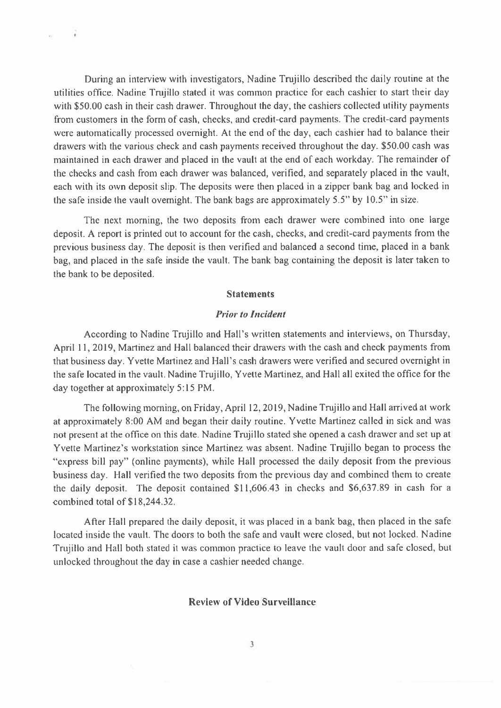During an interview with investigators, Nadine Trujillo described the daily routine at the utilities office. Nadine Trujillo stated it was common practice for each cashier to start their day with \$50.00 cash in their cash drawer. Throughout the day, the cashiers collected utility payments from customers in the form of cash, checks, and credit-card payments. The credit-card payments were automatically processed overnight. At the end of the day, each cashier had to balance their drawers with the various check and cash payments received throughout the day. \$50.00 cash was maintained in each drawer and placed in the vault at the end of each workday. The remainder of the checks and cash from each drawer was balanced, verified, and separately placed in the vault, each with its own deposit slip. The deposits were then placed in a zipper bank bag and locked in the safe inside the vault overnight. The bank bags are approximately 5.5" by 10.5" in size.

 $\rightarrow$ 

The next morning, the two deposits from each drawer were combined into one large deposit. A report is printed out to account for the cash, checks, and credit-card payments from the previous business day. The deposit is then verified and balanced a second time, placed in a bank bag, and placed in the safe inside the vault. The bank bag containing the deposit is later taken to the bank to be deposited.

#### **Statements**

### **Prior to Incident**

According to Nadine Trujillo and Hall's written statements and interviews, on Thursday, April 11, 2019, Martinez and Hall balanced their drawers with the cash and check payments from that business day. Yvette Martinez and Hall's cash drawers were verified and secured overnight in the safe located in the vault. Nadine Trujillo, Yvette Martinez, and Hall all exited the office for the day together at approximately 5:15 PM.

The following morning, on Friday, April 12, 2019, Nadine Trujillo and Hall arrived at work at approximately 8:00 AM and began their daily routine. Yvette Martinez called in sick and was not present at the office on this date. Nadine Trujillo stated she opened a cash drawer and set up at Yvette Martinez's workstation since Martinez was absent. Nadine Trujillo began to process the "express bill pay" (online payments), while Hall processed the daily deposit from the previous business day. Hall verified the two deposits from the previous day and combined them to create the daily deposit. The deposit contained \$11,606.43 in checks and \$6,637.89 in cash for a combined total of \$18,244.32.

After Hall prepared the daily deposit, it was placed in a bank bag, then placed in the safe located inside the vault. The doors to both the safe and vault were closed, but not locked. Nadine Trujillo and Hall both stated it was common practice to leave the vault door and safe closed, but unlocked throughout the day in case a cashier needed change.

### **Review of Video Surveillance**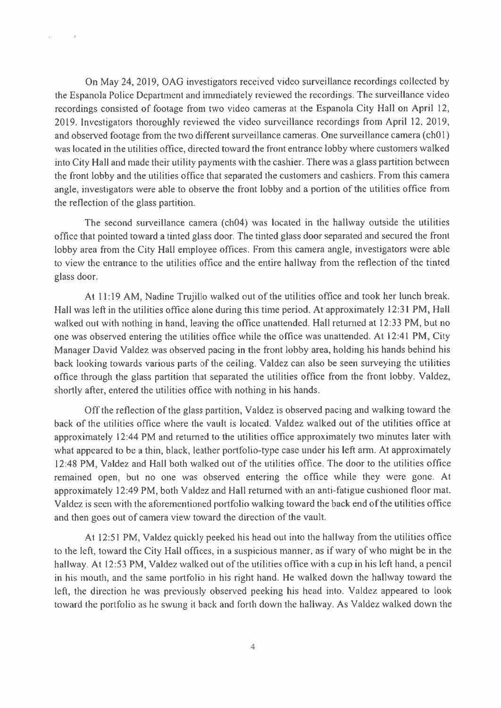On May 24, 2019, OAG investigators received video surveillance recordings collected by the Espanola Police Department and immediately reviewed the recordings. The surveillance video recordings consisted of footage from two video cameras at the Espanola City Hall on April 12, 2019. Investigators thoroughly reviewed the video surveillance recordings from April 12, 2019, and observed footage from the two different surveillance cameras. One surveillance camera (ch01) was located in the utilities office, directed toward the front entrance lobby where customers walked into City Hall and made their utility payments with the cashier. There was a glass partition between the front lobby and the utilities office that separated the customers and cashiers. From this camera angle, investigators were able to observe the front lobby and a portion of the utilities office from the reflection of the glass partition.

 $\sim$ 

iii -

The second surveillance camera (ch04) was located in the hallway outside the utilities office that pointed toward a tinted glass door. The tinted glass door separated and secured the front lobby area from the City Hall employee offices. From this camera angle, investigators were able to view the entrance to the utilities office and the entire hallway from the reflection of the tinted glass door.

At 11:19 AM, Nadine Trujillo walked out of the utilities office and took her lunch break. Hall was left in the utilities office alone during this time period. At approximately 12:31 PM, Hall walked out with nothing in hand, leaving the office unattended. Hall returned at 12:33 PM, but no one was observed entering the utilities office while the office was unattended. At 12:41 PM, City Manager David Valdez was observed pacing in the front lobby area, holding his hands behind his back looking towards various parts of the ceiling. Valdez can also be seen surveying the utilities office through the glass partition that separated the utilities office from the front lobby. Valdez, shortly after, entered the utilities office with nothing in his hands.

Off the reflection of the glass partition, Valdez is observed pacing and walking toward the back of the utilities office where the vault is located. Valdez walked out of the utilities office at approximately 12:44 PM and returned to the utilities office approximately two minutes later with what appeared to be a thin, black, leather portfolio-type case under his left arm. At approximately 12:48 PM, Valdez and Hall both walked out of the utilities office. The door to the utilities office remained open, but no one was observed entering the office while they were gone. At approximately 12:49 PM, both Valdez and Hall returned with an anti-fatigue cushioned floor mat. Valdez is seen with the aforementioned portfolio walking toward the back end of the utilities office and then goes out of camera view toward the direction of the vault.

At 12:51 PM, Valdez quickly peeked his head out into the hallway from the utilities office to the left, toward the City Hall offices, in a suspicious manner, as if wary of who might be in the hallway. At 12:53 PM, Valdez walked out of the utilities office with a cup in his left hand, a pencil in his mouth, and the same portfolio in his right hand. He walked down the hallway toward the left, the direction he was previously observed peeking his head into. Valdez appeared to look toward the portfolio as he swung it back and forth down the hallway. As Valdez walked down the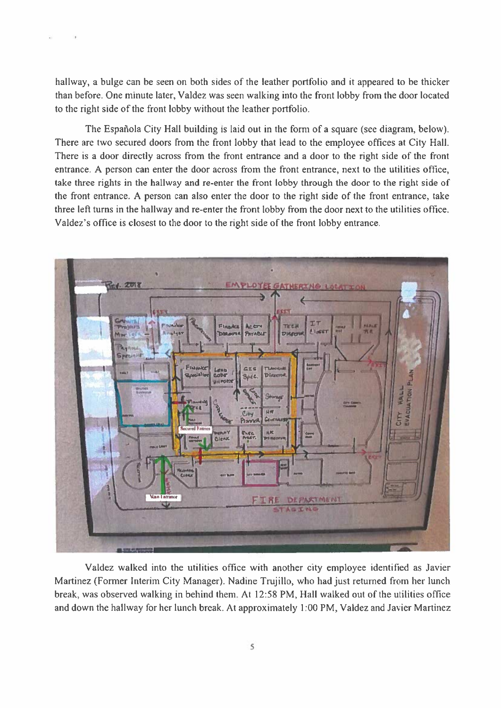hallway, a bulge can be seen on both sides of the leather portfolio and it appeared to be thicker than before. One minute later, Valdez was seen walking into the front lobby from the door located to the right side of the front lobby without the leather portfolio.

The Española City Hall building is laid out in the form of a square (see diagram, below). There are two secured doors from the front lobby that lead to the employee offices at City Hall. There is a door directly across from the front entrance and a door to the right side of the front entrance. A person can enter the door across from the front entrance, next to the utilities office, take three rights in the hallway and re-enter the front lobby through the door to the right side of the front entrance. A person can also enter the door to the right side of the front entrance, take three left turns in the hallway and re-enter the front lobby from the door next to the utilities office. Valdez's office is closest to the door to the right side of the front lobby entrance.



Valdez walked into the utilities office with another city employee identified as Javier Martinez (Former Interim City Manager). Nadine Trujillo, who had just returned from her lunch break, was observed walking in behind them. At 12:58 PM, Hall walked out of the utilities office and down the hallway for her lunch break. At approximately 1:00 PM, Valdez and Javier Martinez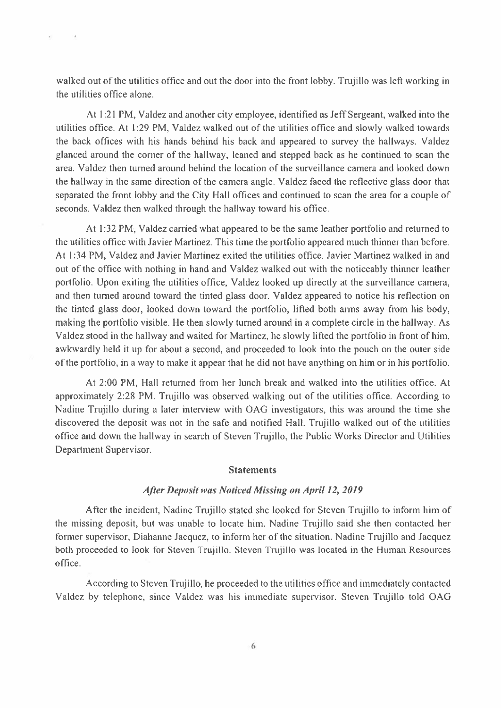walked out of the utilities office and out the door into the front lobby. Trujillo was left working in the utilities office alone.

 $\sim$  14.

 $\mathcal{O}$  .

At 1:21 PM, Valdez and another city employee, identified as Jeff Sergeant, walked into the utilities office. At 1:29 PM, Valdez walked out of the utilities office and slowly walked towards the back offices with his hands behind his back and appeared to survey the hallways. Valdez glanced around the corner of the hallway, leaned and stepped back as he continued to scan the area. Valdez then turned around behind the location of the surveillance camera and looked down the hallway in the same direction of the camera angle. Valdez faced the reflective glass door that separated the front lobby and the City Hall offices and continued to scan the area for a couple of seconds. Valdez then walked through the hallway toward his office.

At 1:32 PM, Valdez carried what appeared to be the same leather portfolio and returned to the utilities office with Javier Martinez. This time the portfolio appeared much thinner than before. At 1:34 PM, Valdez and Javier Martinez exited the utilities office. Javier Martinez walked in and out of the office with nothing in hand and Valdez walked out with the noticeably thinner leather portfolio. Upon exiting the utilities office, Valdez looked up directly at the surveillance camera, and then turned around toward the tinted glass door. Valdez appeared to notice his reflection on the tinted glass door, looked down toward the portfolio, lifted both arms away from his body, making the portfolio visible. He then slowly turned around in a complete circle in the hallway. As Valdez stood in the hallway and waited for Martinez, he slowly lifted the portfolio in front of him, awkwardly held it up for about a second, and proceeded to look into the pouch on the outer side of the portfolio, in a way to make it appear that he did not have anything on him or in his portfolio.

At 2:00 PM, Hall returned from her lunch break and walked into the utilities office. At approximately 2:28 PM, Trujillo was observed walking out of the utilities office. According to Nadine Trujillo during a later interview with OAG investigators, this was around the time she discovered the deposit was not in the safe and notified Hall. Trujillo walked out of the utilities office and down the hallway in search of Steven Trujillo, the Public Works Director and Utilities Department Supervisor.

#### **Statements**

### After Deposit was Noticed Missing on April 12, 2019

After the incident, Nadine Trujillo stated she looked for Steven Trujillo to inform him of the missing deposit, but was unable to locate him. Nadine Trujillo said she then contacted her former supervisor, Diahanne Jacquez, to inform her of the situation. Nadine Trujillo and Jacquez both proceeded to look for Steven Trujillo. Steven Trujillo was located in the Human Resources office.

According to Steven Trujillo, he proceeded to the utilities office and immediately contacted Valdez by telephone, since Valdez was his immediate supervisor. Steven Trujillo told OAG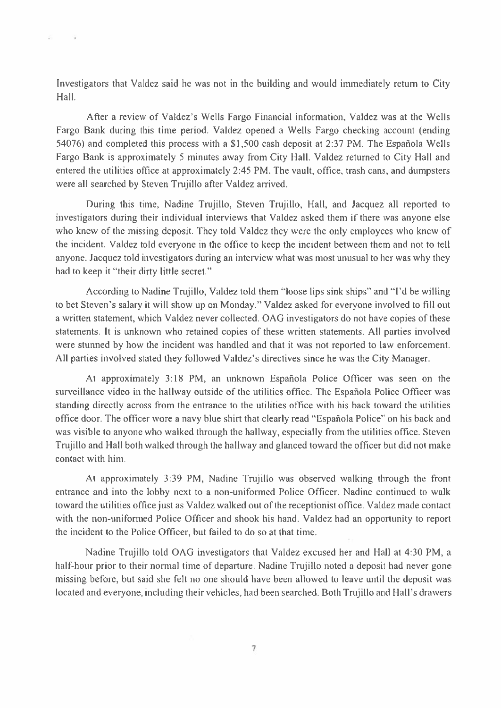Investigators that Valdez said he was not in the building and would immediately return to City Hall.

 $\sim$ 

After a review of Valdez's Wells Fargo Financial information, Valdez was at the Wells Fargo Bank during this time period. Valdez opened a Wells Fargo checking account (ending 54076) and completed this process with a \$1,500 cash deposit at 2:37 PM. The Española Wells Fargo Bank is approximately 5 minutes away from City Hall. Valdez returned to City Hall and entered the utilities office at approximately 2:45 PM. The vault, office, trash cans, and dumpsters were all searched by Steven Trujillo after Valdez arrived.

During this time, Nadine Trujillo, Steven Trujillo, Hall, and Jacquez all reported to investigators during their individual interviews that Valdez asked them if there was anyone else who knew of the missing deposit. They told Valdez they were the only employees who knew of the incident. Valdez told everyone in the office to keep the incident between them and not to tell anyone. Jacquez told investigators during an interview what was most unusual to her was why they had to keep it "their dirty little secret."

According to Nadine Trujillo, Valdez told them "loose lips sink ships" and "I'd be willing to bet Steven's salary it will show up on Monday." Valdez asked for everyone involved to fill out a written statement, which Valdez never collected. OAG investigators do not have copies of these statements. It is unknown who retained copies of these written statements. All parties involved were stunned by how the incident was handled and that it was not reported to law enforcement. All parties involved stated they followed Valdez's directives since he was the City Manager.

At approximately 3:18 PM, an unknown Española Police Officer was seen on the surveillance video in the hallway outside of the utilities office. The Española Police Officer was standing directly across from the entrance to the utilities office with his back toward the utilities office door. The officer wore a navy blue shirt that clearly read "Española Police" on his back and was visible to anyone who walked through the hallway, especially from the utilities office. Steven Trujillo and Hall both walked through the hallway and glanced toward the officer but did not make contact with him.

At approximately 3:39 PM, Nadine Trujillo was observed walking through the front entrance and into the lobby next to a non-uniformed Police Officer. Nadine continued to walk toward the utilities office just as Valdez walked out of the receptionist office. Valdez made contact with the non-uniformed Police Officer and shook his hand. Valdez had an opportunity to report the incident to the Police Officer, but failed to do so at that time.

Nadine Trujillo told OAG investigators that Valdez excused her and Hall at 4:30 PM, a half-hour prior to their normal time of departure. Nadine Trujillo noted a deposit had never gone missing before, but said she felt no one should have been allowed to leave until the deposit was located and everyone, including their vehicles, had been searched. Both Trujillo and Hall's drawers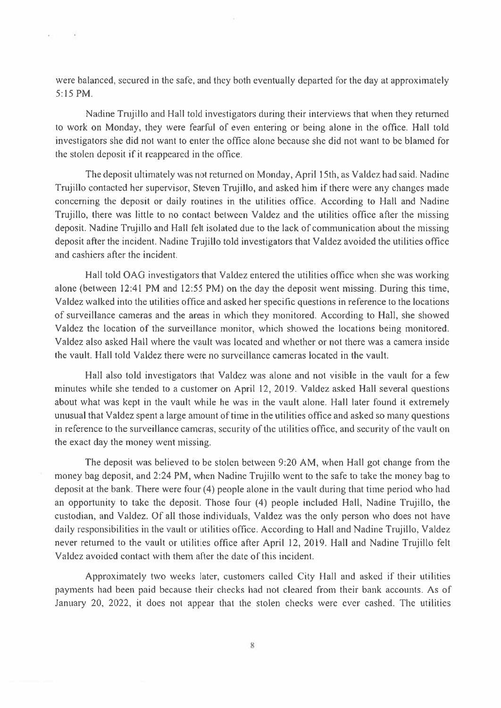were balanced, secured in the safe, and they both eventually departed for the day at approximately 5:15 PM.

as W

Nadine Trujillo and Hall told investigators during their interviews that when they returned to work on Monday, they were fearful of even entering or being alone in the office. Hall told investigators she did not want to enter the office alone because she did not want to be blamed for the stolen deposit if it reappeared in the office.

The deposit ultimately was not returned on Monday, April 15th, as Valdez had said. Nadine Trujillo contacted her supervisor, Steven Trujillo, and asked him if there were any changes made concerning the deposit or daily routines in the utilities office. According to Hall and Nadine Trujillo, there was little to no contact between Valdez and the utilities office after the missing deposit. Nadine Trujillo and Hall felt isolated due to the lack of communication about the missing deposit after the incident. Nadine Trujillo told investigators that Valdez avoided the utilities office and cashiers after the incident.

Hall told OAG investigators that Valdez entered the utilities office when she was working alone (between 12:41 PM and 12:55 PM) on the day the deposit went missing. During this time, Valdez walked into the utilities office and asked her specific questions in reference to the locations of surveillance cameras and the areas in which they monitored. According to Hall, she showed Valdez the location of the surveillance monitor, which showed the locations being monitored. Valdez also asked Hall where the vault was located and whether or not there was a camera inside the vault. Hall told Valdez there were no surveillance cameras located in the vault.

Hall also told investigators that Valdez was alone and not visible in the vault for a few minutes while she tended to a customer on April 12, 2019. Valdez asked Hall several questions about what was kept in the vault while he was in the vault alone. Hall later found it extremely unusual that Valdez spent a large amount of time in the utilities office and asked so many questions in reference to the surveillance cameras, security of the utilities office, and security of the vault on the exact day the money went missing.

The deposit was believed to be stolen between 9:20 AM, when Hall got change from the money bag deposit, and 2:24 PM, when Nadine Trujillo went to the safe to take the money bag to deposit at the bank. There were four (4) people alone in the vault during that time period who had an opportunity to take the deposit. Those four (4) people included Hall, Nadine Trujillo, the custodian, and Valdez. Of all those individuals, Valdez was the only person who does not have daily responsibilities in the vault or utilities office. According to Hall and Nadine Trujillo, Valdez never returned to the vault or utilities office after April 12, 2019. Hall and Nadine Trujillo felt Valdez avoided contact with them after the date of this incident.

Approximately two weeks later, customers called City Hall and asked if their utilities payments had been paid because their checks had not cleared from their bank accounts. As of January 20, 2022, it does not appear that the stolen checks were ever cashed. The utilities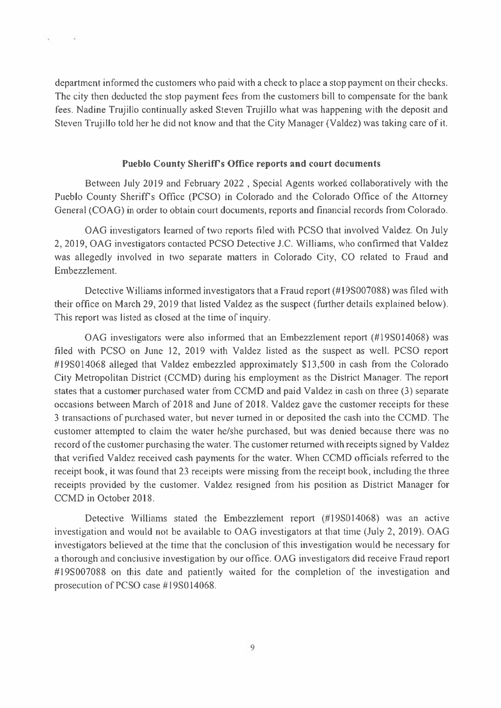department informed the customers who paid with a check to place a stop payment on their checks. The city then deducted the stop payment fees from the customers bill to compensate for the bank fees. Nadine Trujillo continually asked Steven Trujillo what was happening with the deposit and Steven Trujillo told her he did not know and that the City Manager (Valdez) was taking care of it.

n.

¥

### **Pueblo County Sheriff's Office reports and court documents**

Between July 2019 and February 2022, Special Agents worked collaboratively with the Pueblo County Sheriff's Office (PCSO) in Colorado and the Colorado Office of the Attorney General (COAG) in order to obtain court documents, reports and financial records from Colorado.

OAG investigators learned of two reports filed with PCSO that involved Valdez. On July 2, 2019, OAG investigators contacted PCSO Detective J.C. Williams, who confirmed that Valdez was allegedly involved in two separate matters in Colorado City, CO related to Fraud and Embezzlement.

Detective Williams informed investigators that a Fraud report (#198007088) was filed with their office on March 29, 2019 that listed Valdez as the suspect (further details explained below). This report was listed as closed at the time of inquiry.

OAG investigators were also informed that an Embezzlement report (#19S014068) was filed with PCSO on June 12, 2019 with Valdez listed as the suspect as well. PCSO report #19S014068 alleged that Valdez embezzled approximately \$13,500 in cash from the Colorado City Metropolitan District (CCMD) during his employment as the District Manager. The report states that a customer purchased water from CCMD and paid Valdez in cash on three (3) separate occasions between March of 2018 and June of 2018. Valdez gave the customer receipts for these 3 transactions of purchased water, but never turned in or deposited the cash into the CCMD. The customer attempted to claim the water he/she purchased, but was denied because there was no record of the customer purchasing the water. The customer returned with receipts signed by Valdez that verified Valdez received cash payments for the water. When CCMD officials referred to the receipt book, it was found that 23 receipts were missing from the receipt book, including the three receipts provided by the customer. Valdez resigned from his position as District Manager for CCMD in October 2018.

Detective Williams stated the Embezzlement report (#19S014068) was an active investigation and would not be available to OAG investigators at that time (July 2, 2019). OAG investigators believed at the time that the conclusion of this investigation would be necessary for a thorough and conclusive investigation by our office. OAG investigators did receive Fraud report #19S007088 on this date and patiently waited for the completion of the investigation and prosecution of PCSO case #19S014068.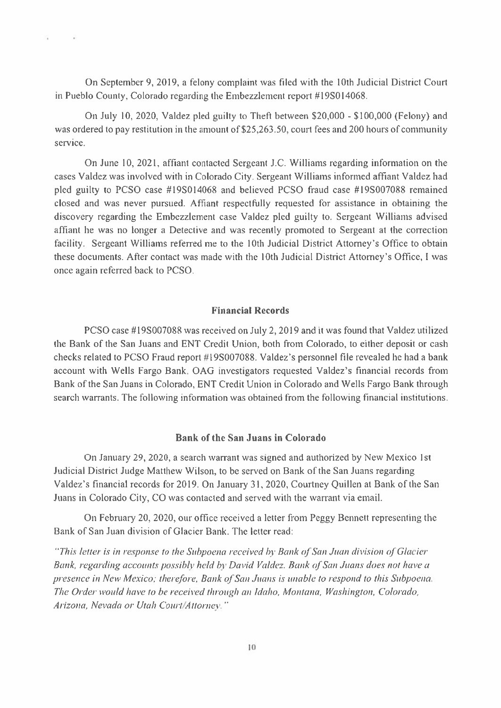On September 9, 2019, a felony complaint was filed with the 10th Judicial District Court in Pueblo County, Colorado regarding the Embezzlement report #198014068.

Ň.

On July 10, 2020, Valdez pled guilty to Theft between \$20,000 - \$100,000 (Felony) and was ordered to pay restitution in the amount of \$25,263.50, court fees and 200 hours of community service.

On June 10, 2021, affiant contacted Sergeant J.C. Williams regarding information on the cases Valdez was involved with in Colorado City. Sergeant Williams informed affiant Valdez had pled guilty to PCSO case #19S014068 and believed PCSO fraud case #19S007088 remained closed and was never pursued. Affiant respectfully requested for assistance in obtaining the discovery regarding the Embezzlement case Valdez pled guilty to. Sergeant Williams advised affiant he was no longer a Detective and was recently promoted to Sergeant at the correction facility. Sergeant Williams referred me to the 10th Judicial District Attorney's Office to obtain these documents. After contact was made with the 10th Judicial District Attorney's Office, I was once again referred back to PCSO.

### **Financial Records**

PCSO case #19S007088 was received on July 2, 2019 and it was found that Valdez utilized the Bank of the San Juans and ENT Credit Union, both from Colorado, to either deposit or cash checks related to PCSO Fraud report #19S007088. Valdez's personnel file revealed he had a bank account with Wells Fargo Bank, OAG investigators requested Valdez's financial records from Bank of the San Juans in Colorado, ENT Credit Union in Colorado and Wells Fargo Bank through search warrants. The following information was obtained from the following financial institutions.

### **Bank of the San Juans in Colorado**

On January 29, 2020, a search warrant was signed and authorized by New Mexico 1st Judicial District Judge Matthew Wilson, to be served on Bank of the San Juans regarding Valdez's financial records for 2019. On January 31, 2020, Courtney Quillen at Bank of the San Juans in Colorado City, CO was contacted and served with the warrant via email.

On February 20, 2020, our office received a letter from Peggy Bennett representing the Bank of San Juan division of Glacier Bank. The letter read:

"This letter is in response to the Subpoena received by Bank of San Juan division of Glacier" Bank, regarding accounts possibly held by David Valdez. Bank of San Juans does not have a presence in New Mexico; therefore, Bank of San Juans is unable to respond to this Subpoena. The Order would have to be received through an Idaho, Montana, Washington, Colorado, Arizona, Nevada or Utah Court/Attorney."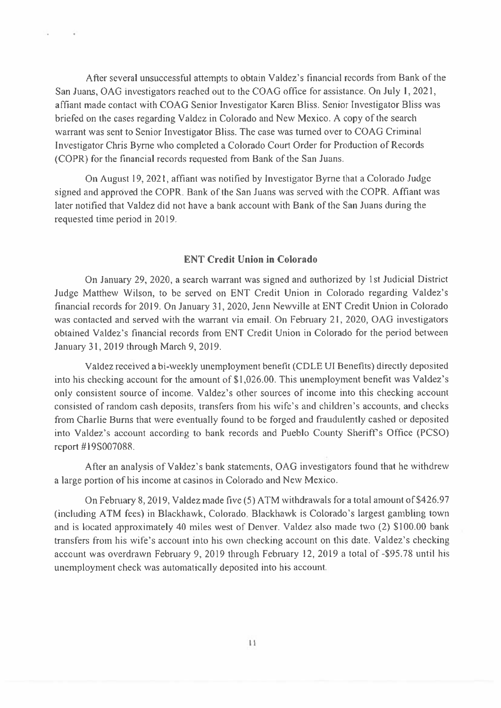After several unsuccessful attempts to obtain Valdez's financial records from Bank of the San Juans, OAG investigators reached out to the COAG office for assistance. On July 1, 2021, affiant made contact with COAG Senior Investigator Karen Bliss. Senior Investigator Bliss was briefed on the cases regarding Valdez in Colorado and New Mexico. A copy of the search warrant was sent to Senior Investigator Bliss. The case was turned over to COAG Criminal Investigator Chris Byrne who completed a Colorado Court Order for Production of Records (COPR) for the financial records requested from Bank of the San Juans.

 $\sim$ 

 $\sim$ 

On August 19, 2021, affiant was notified by Investigator Byrne that a Colorado Judge signed and approved the COPR. Bank of the San Juans was served with the COPR. Affiant was later notified that Valdez did not have a bank account with Bank of the San Juans during the requested time period in 2019.

### **ENT Credit Union in Colorado**

On January 29, 2020, a search warrant was signed and authorized by 1st Judicial District Judge Matthew Wilson, to be served on ENT Credit Union in Colorado regarding Valdez's financial records for 2019. On January 31, 2020, Jenn Newville at ENT Credit Union in Colorado was contacted and served with the warrant via email. On February 21, 2020, OAG investigators obtained Valdez's financial records from ENT Credit Union in Colorado for the period between January 31, 2019 through March 9, 2019.

Valdez received a bi-weekly unemployment benefit (CDLE UI Benefits) directly deposited into his checking account for the amount of \$1,026.00. This unemployment benefit was Valdez's only consistent source of income. Valdez's other sources of income into this checking account consisted of random cash deposits, transfers from his wife's and children's accounts, and checks from Charlie Burns that were eventually found to be forged and fraudulently cashed or deposited into Valdez's account according to bank records and Pueblo County Sheriff's Office (PCSO) report #19S007088.

After an analysis of Valdez's bank statements, OAG investigators found that he withdrew a large portion of his income at casinos in Colorado and New Mexico.

On February 8, 2019, Valdez made five (5) ATM withdrawals for a total amount of \$426.97 (including ATM fees) in Blackhawk, Colorado. Blackhawk is Colorado's largest gambling town and is located approximately 40 miles west of Denver. Valdez also made two (2) \$100.00 bank transfers from his wife's account into his own checking account on this date. Valdez's checking account was overdrawn February 9, 2019 through February 12, 2019 a total of -\$95.78 until his unemployment check was automatically deposited into his account.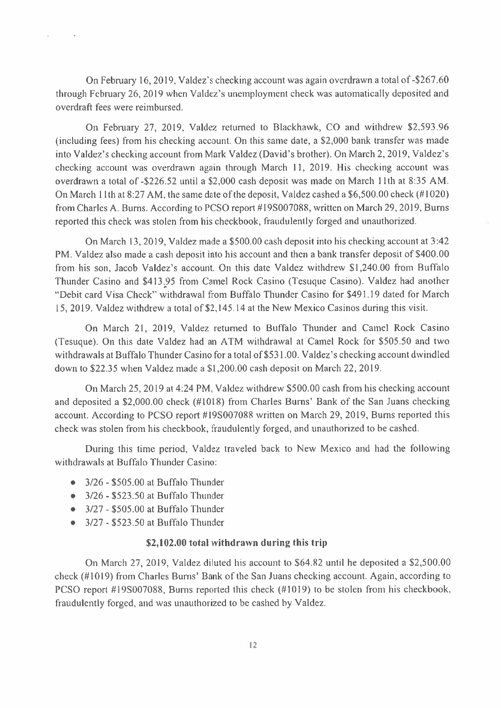On February 16, 2019, Valdez's checking account was again overdrawn a total of -\$267.60 through February 26, 2019 when Valdez's unemployment check was automatically deposited and overdraft fees were reimbursed.

On February 27, 2019, Valdez returned to Blackhawk, CO and withdrew \$2,593.96 (including fees) from his checking account. On this same date, a \$2,000 bank transfer was made into Valdez's checking account from Mark Valdez (David's brother). On March 2, 2019, Valdez's checking account was overdrawn again through March 11, 2019. His checking account was overdrawn a total of -\$226.52 until a \$2,000 cash deposit was made on March 11th at 8:35 AM. On March 11th at 8:27 AM, the same date of the deposit, Valdez cashed a \$6,500.00 check (#1020) from Charles A. Burns. According to PCSO report #19S007088, written on March 29, 2019, Burns reported this check was stolen from his checkbook, fraudulently forged and unauthorized.

On March 13, 2019, Valdez made a \$500.00 cash deposit into his checking account at 3:42 PM. Valdez also made a cash deposit into his account and then a bank transfer deposit of \$400.00 from his son, Jacob Valdez's account. On this date Valdez withdrew \$1,240.00 from Buffalo Thunder Casino and \$413.95 from Camel Rock Casino (Tesuque Casino). Valdez had another "Debit card Visa Check" withdrawal from Buffalo Thunder Casino for \$491.19 dated for March 15, 2019. Valdez withdrew a total of \$2,145.14 at the New Mexico Casinos during this visit.

On March 21, 2019, Valdez returned to Buffalo Thunder and Camel Rock Casino (Tesuque). On this date Valdez had an ATM withdrawal at Camel Rock for \$505.50 and two withdrawals at Buffalo Thunder Casino for a total of \$531.00. Valdez's checking account dwindled down to \$22.35 when Valdez made a \$1,200.00 cash deposit on March 22, 2019.

On March 25, 2019 at 4:24 PM, Valdez withdrew \$500.00 cash from his checking account and deposited a \$2,000.00 check (#1018) from Charles Burns' Bank of the San Juans checking account. According to PCSO report #198007088 written on March 29, 2019, Burns reported this check was stolen from his checkbook, fraudulently forged, and unauthorized to be cashed.

During this time period, Valdez traveled back to New Mexico and had the following withdrawals at Buffalo Thunder Casino:

 $\bullet$  3/26 - \$505.00 at Buffalo Thunder

Date of

 $\sim$ 

- $\bullet$  3/26 \$523.50 at Buffalo Thunder
- $\bullet$  3/27 \$505.00 at Buffalo Thunder
- $\bullet$  3/27 \$523.50 at Buffalo Thunder

### \$2,102.00 total withdrawn during this trip

On March 27, 2019, Valdez diluted his account to \$64.82 until he deposited a \$2,500.00 check (#1019) from Charles Burns' Bank of the San Juans checking account. Again, according to PCSO report #19S007088, Burns reported this check (#1019) to be stolen from his checkbook, fraudulently forged, and was unauthorized to be cashed by Valdez.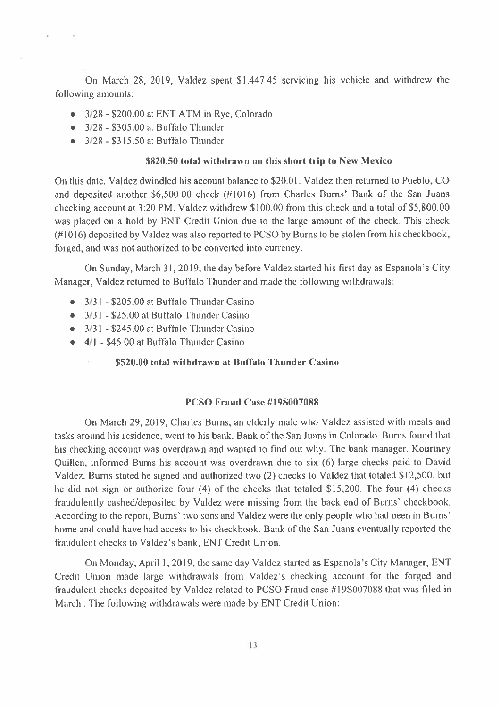On March 28, 2019, Valdez spent \$1,447.45 servicing his vehicle and withdrew the following amounts:

- $\bullet$  3/28 \$200.00 at ENT ATM in Rye, Colorado
- $\bullet$  3/28 \$305.00 at Buffalo Thunder

 $\mathbf{r}$ 

 $\sim$ 

 $\bullet$  3/28 - \$315.50 at Buffalo Thunder

### \$820.50 total withdrawn on this short trip to New Mexico

On this date, Valdez dwindled his account balance to \$20.01. Valdez then returned to Pueblo, CO and deposited another \$6,500.00 check (#1016) from Charles Burns' Bank of the San Juans checking account at 3:20 PM. Valdez withdrew \$100.00 from this check and a total of \$5,800.00 was placed on a hold by ENT Credit Union due to the large amount of the check. This check (#1016) deposited by Valdez was also reported to PCSO by Burns to be stolen from his checkbook, forged, and was not authorized to be converted into currency.

On Sunday, March 31, 2019, the day before Valdez started his first day as Espanola's City Manager, Valdez returned to Buffalo Thunder and made the following withdrawals:

- $\bullet$  3/31 \$205.00 at Buffalo Thunder Casino
- $\bullet$  3/31 \$25.00 at Buffalo Thunder Casino
- $\bullet$  3/31 \$245.00 at Buffalo Thunder Casino
- $\bullet$  4/1 \$45.00 at Buffalo Thunder Casino
	- \$520.00 total withdrawn at Buffalo Thunder Casino

### PCSO Fraud Case #19S007088

On March 29, 2019, Charles Burns, an elderly male who Valdez assisted with meals and tasks around his residence, went to his bank, Bank of the San Juans in Colorado. Burns found that his checking account was overdrawn and wanted to find out why. The bank manager, Kourtney Ouillen, informed Burns his account was overdrawn due to six (6) large checks paid to David Valdez. Burns stated he signed and authorized two (2) checks to Valdez that totaled \$12,500, but he did not sign or authorize four (4) of the checks that totaled \$15,200. The four (4) checks fraudulently cashed/deposited by Valdez were missing from the back end of Burns' checkbook. According to the report, Burns' two sons and Valdez were the only people who had been in Burns' home and could have had access to his checkbook. Bank of the San Juans eventually reported the fraudulent checks to Valdez's bank, ENT Credit Union.

On Monday, April 1, 2019, the same day Valdez started as Espanola's City Manager, ENT Credit Union made large withdrawals from Valdez's checking account for the forged and fraudulent checks deposited by Valdez related to PCSO Fraud case #19S007088 that was filed in March. The following withdrawals were made by ENT Credit Union: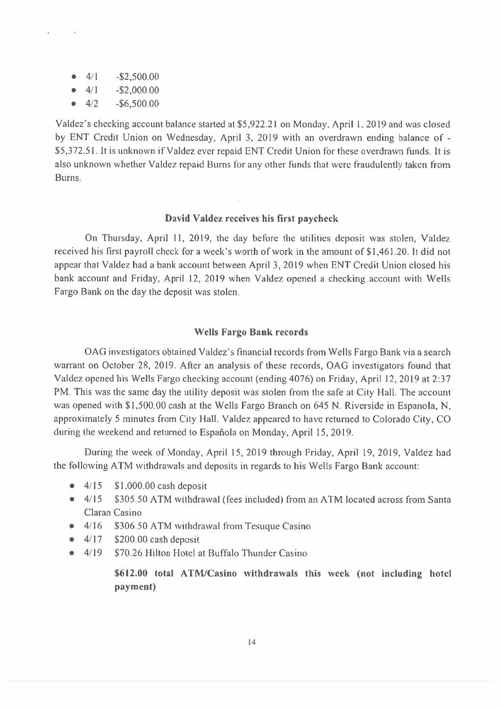$4/1$  $-$ \$2,500.00  $\qquad \qquad \bullet$ 

Ń.

 $\sim$ 

- $4/1$  $-S2,000.00$
- $4/2$  $-$ \$6,500.00

Valdez's checking account balance started at \$5,922.21 on Monday, April 1, 2019 and was closed by ENT Credit Union on Wednesday, April 3, 2019 with an overdrawn ending balance of -\$5,372.51. It is unknown if Valdez ever repaid ENT Credit Union for these overdrawn funds. It is also unknown whether Valdez repaid Burns for any other funds that were fraudulently taken from Burns.

### David Valdez receives his first paycheck

On Thursday, April 11, 2019, the day before the utilities deposit was stolen, Valdez received his first payroll check for a week's worth of work in the amount of \$1,461.20. It did not appear that Valdez had a bank account between April 3, 2019 when ENT Credit Union closed his bank account and Friday, April 12, 2019 when Valdez opened a checking account with Wells Fargo Bank on the day the deposit was stolen.

#### **Wells Fargo Bank records**

OAG investigators obtained Valdez's financial records from Wells Fargo Bank via a search warrant on October 28, 2019. After an analysis of these records, OAG investigators found that Valdez opened his Wells Fargo checking account (ending 4076) on Friday, April 12, 2019 at 2:37 PM. This was the same day the utility deposit was stolen from the safe at City Hall. The account was opened with \$1,500,00 cash at the Wells Fargo Branch on 645 N. Riverside in Espanola, N. approximately 5 minutes from City Hall. Valdez appeared to have returned to Colorado City, CO during the weekend and returned to Española on Monday, April 15, 2019.

During the week of Monday, April 15, 2019 through Friday, April 19, 2019, Valdez had the following ATM withdrawals and deposits in regards to his Wells Fargo Bank account:

- $\bullet$  4/15  $$1,000.00$  cash deposit
- $-4/15$ \$305.50 ATM withdrawal (fees included) from an ATM located across from Santa Claran Casino
- $\bullet$  4/16 \$306.50 ATM withdrawal from Tesuque Casino
- $4/17$ \$200.00 cash deposit
- $\bullet$  4/19 \$70.26 Hilton Hotel at Buffalo Thunder Casino

\$612.00 total ATM/Casino withdrawals this week (not including hotel payment)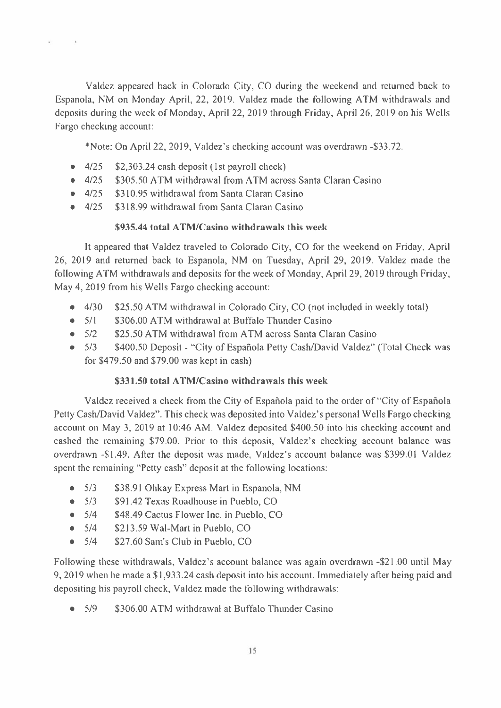Valdez appeared back in Colorado City, CO during the weekend and returned back to Espanola, NM on Monday April, 22, 2019. Valdez made the following ATM withdrawals and deposits during the week of Monday, April 22, 2019 through Friday, April 26, 2019 on his Wells Fargo checking account:

\*Note: On April 22, 2019, Valdez's checking account was overdrawn -\$33.72.

- $4/25$  $\bullet$ \$2,303.24 cash deposit (1st payroll check)
- $\bullet$  4/25 \$305.50 ATM withdrawal from ATM across Santa Claran Casino
- \$310.95 withdrawal from Santa Claran Casino  $-4/25$
- $-4/25$ \$318.99 withdrawal from Santa Claran Casino

## \$935.44 total ATM/Casino withdrawals this week

It appeared that Valdez traveled to Colorado City, CO for the weekend on Friday, April 26, 2019 and returned back to Espanola, NM on Tuesday, April 29, 2019. Valdez made the following ATM withdrawals and deposits for the week of Monday, April 29, 2019 through Friday, May 4, 2019 from his Wells Fargo checking account:

- $\bullet$  $4/30$ \$25.50 ATM withdrawal in Colorado City, CO (not included in weekly total)
- $5/1$ \$306.00 ATM withdrawal at Buffalo Thunder Casino  $\bullet$
- $\bullet$  5/2 \$25.50 ATM withdrawal from ATM across Santa Claran Casino
- $\bullet$  5/3 \$400.50 Deposit - "City of Española Petty Cash/David Valdez" (Total Check was for  $$479.50$  and  $$79.00$  was kept in cash)

## \$331.50 total ATM/Casino withdrawals this week

Valdez received a check from the City of Española paid to the order of "City of Española" Petty Cash/David Valdez". This check was deposited into Valdez's personal Wells Fargo checking account on May 3, 2019 at 10:46 AM. Valdez deposited \$400.50 into his checking account and cashed the remaining \$79.00. Prior to this deposit, Valdez's checking account balance was overdrawn -\$1.49. After the deposit was made, Valdez's account balance was \$399.01 Valdez spent the remaining "Petty cash" deposit at the following locations:

- $5/3$ \$38.91 Ohkay Express Mart in Espanola, NM  $\bullet$
- $5/3$ \$91.42 Texas Roadhouse in Pueblo, CO
- $\bullet$  5/4 \$48.49 Cactus Flower Inc. in Pueblo, CO
- $5/4$ \$213.59 Wal-Mart in Pueblo, CO  $\bullet$
- $5/4$ \$27.60 Sam's Club in Pueblo, CO

Following these withdrawals, Valdez's account balance was again overdrawn -\$21.00 until May 9, 2019 when he made a \$1,933.24 cash deposit into his account. Immediately after being paid and depositing his payroll check, Valdez made the following withdrawals:

\$306.00 ATM withdrawal at Buffalo Thunder Casino  $5/9$  $\bullet$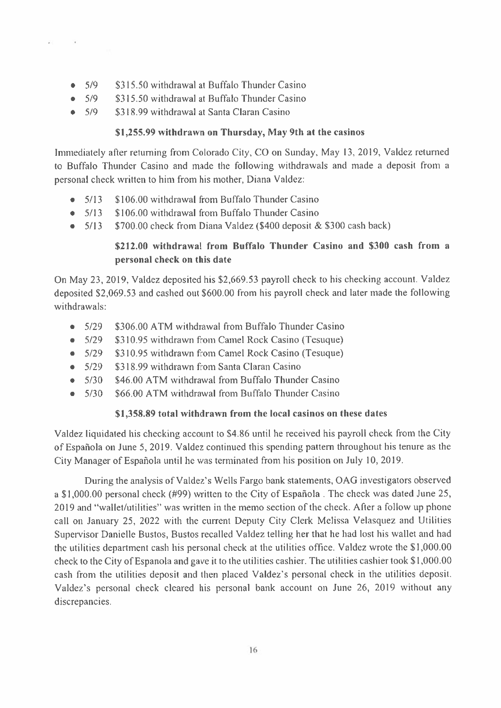- \$315.50 withdrawal at Buffalo Thunder Casino  $5/9$
- $5/9$ \$315.50 withdrawal at Buffalo Thunder Casino
- $5/9$ \$318.99 withdrawal at Santa Claran Casino

## \$1,255.99 withdrawn on Thursday, May 9th at the casinos

Immediately after returning from Colorado City, CO on Sunday, May 13, 2019, Valdez returned to Buffalo Thunder Casino and made the following withdrawals and made a deposit from a personal check written to him from his mother, Diana Valdez:

- $5/13$ \$106.00 withdrawal from Buffalo Thunder Casino  $\bullet$
- \$106.00 withdrawal from Buffalo Thunder Casino  $• 5/13$
- \$700.00 check from Diana Valdez (\$400 deposit & \$300 cash back)  $-5/13$

# \$212.00 withdrawal from Buffalo Thunder Casino and \$300 cash from a personal check on this date

On May 23, 2019, Valdez deposited his \$2,669.53 payroll check to his checking account. Valdez deposited \$2,069.53 and cashed out \$600.00 from his payroll check and later made the following withdrawals:

- \$306.00 ATM withdrawal from Buffalo Thunder Casino  $5/29$  $\bullet$
- $5/29$ \$310.95 withdrawn from Camel Rock Casino (Tesuque)  $\bullet$
- $5/29$ \$310.95 withdrawn from Camel Rock Casino (Tesuque)
- \$318.99 withdrawn from Santa Claran Casino  $\bullet$  5/29
- \$46.00 ATM withdrawal from Buffalo Thunder Casino  $\bullet$  5/30
- \$66.00 ATM withdrawal from Buffalo Thunder Casino  $• 5/30$

## \$1,358.89 total withdrawn from the local casinos on these dates

Valdez liquidated his checking account to \$4.86 until he received his payroll check from the City of Española on June 5, 2019. Valdez continued this spending pattern throughout his tenure as the City Manager of Española until he was terminated from his position on July 10, 2019.

During the analysis of Valdez's Wells Fargo bank statements, OAG investigators observed a \$1,000.00 personal check (#99) written to the City of Española. The check was dated June 25, 2019 and "wallet/utilities" was written in the memo section of the check. After a follow up phone call on January 25, 2022 with the current Deputy City Clerk Melissa Velasquez and Utilities Supervisor Danielle Bustos, Bustos recalled Valdez telling her that he had lost his wallet and had the utilities department cash his personal check at the utilities office. Valdez wrote the \$1,000.00 check to the City of Espanola and gave it to the utilities cashier. The utilities cashier took \$1,000.00 cash from the utilities deposit and then placed Valdez's personal check in the utilities deposit. Valdez's personal check cleared his personal bank account on June 26, 2019 without any discrepancies.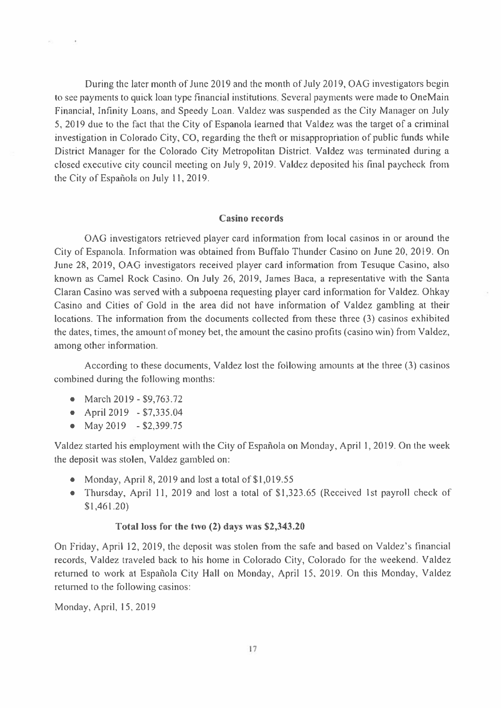During the later month of June 2019 and the month of July 2019, OAG investigators begin to see payments to quick loan type financial institutions. Several payments were made to OneMain Financial, Infinity Loans, and Speedy Loan. Valdez was suspended as the City Manager on July 5, 2019 due to the fact that the City of Espanola learned that Valdez was the target of a criminal investigation in Colorado City, CO, regarding the theft or misappropriation of public funds while District Manager for the Colorado City Metropolitan District. Valdez was terminated during a closed executive city council meeting on July 9, 2019. Valdez deposited his final paycheck from the City of Española on July 11, 2019.

#### **Casino** records

OAG investigators retrieved player card information from local casinos in or around the City of Espanola. Information was obtained from Buffalo Thunder Casino on June 20, 2019. On June 28, 2019, OAG investigators received player card information from Tesuque Casino, also known as Camel Rock Casino. On July 26, 2019, James Baca, a representative with the Santa Claran Casino was served with a subpoena requesting player card information for Valdez. Ohkay Casino and Cities of Gold in the area did not have information of Valdez gambling at their locations. The information from the documents collected from these three (3) casinos exhibited the dates, times, the amount of money bet, the amount the casino profits (casino win) from Valdez, among other information.

According to these documents, Valdez lost the following amounts at the three (3) casinos combined during the following months:

- March  $2019 $9,763.72$
- April 2019 \$7,335.04
- May 2019 \$2,399.75

Valdez started his employment with the City of Española on Monday, April 1, 2019. On the week the deposit was stolen, Valdez gambled on:

- Monday, April 8, 2019 and lost a total of  $$1,019.55$
- Thursday, April 11, 2019 and lost a total of \$1,323.65 (Received 1st payroll check of  $$1,461.20)$

### Total loss for the two (2) days was \$2,343.20

On Friday, April 12, 2019, the deposit was stolen from the safe and based on Valdez's financial records, Valdez traveled back to his home in Colorado City, Colorado for the weekend. Valdez returned to work at Española City Hall on Monday, April 15, 2019. On this Monday, Valdez returned to the following casinos:

Monday, April, 15, 2019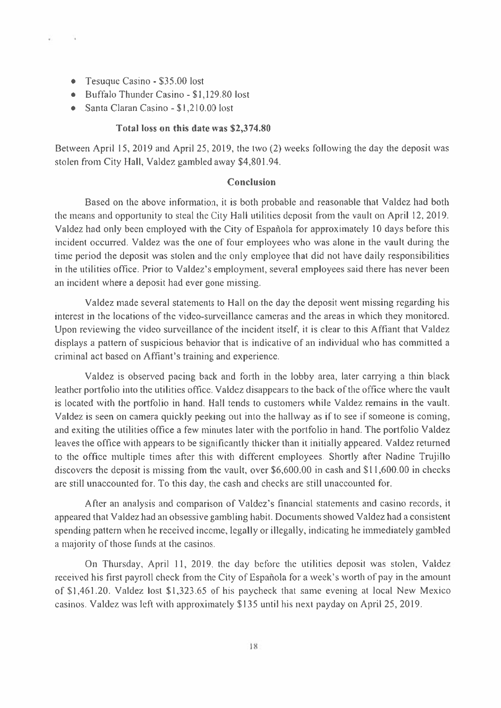- Tesuque Casino \$35.00 lost
- Buffalo Thunder Casino \$1,129.80 lost
- Santa Claran Casino \$1,210.00 lost

### Total loss on this date was \$2,374.80

Between April 15, 2019 and April 25, 2019, the two (2) weeks following the day the deposit was stolen from City Hall, Valdez gambled away \$4,801.94.

### **Conclusion**

Based on the above information, it is both probable and reasonable that Valdez had both the means and opportunity to steal the City Hall utilities deposit from the vault on April 12, 2019. Valdez had only been employed with the City of Española for approximately 10 days before this incident occurred. Valdez was the one of four employees who was alone in the vault during the time period the deposit was stolen and the only employee that did not have daily responsibilities in the utilities office. Prior to Valdez's employment, several employees said there has never been an incident where a deposit had ever gone missing.

Valdez made several statements to Hall on the day the deposit went missing regarding his interest in the locations of the video-surveillance cameras and the areas in which they monitored. Upon reviewing the video surveillance of the incident itself, it is clear to this Affiant that Valdez displays a pattern of suspicious behavior that is indicative of an individual who has committed a criminal act based on Affiant's training and experience.

Valdez is observed pacing back and forth in the lobby area, later carrying a thin black leather portfolio into the utilities office. Valdez disappears to the back of the office where the vault is located with the portfolio in hand. Hall tends to customers while Valdez remains in the vault. Valdez is seen on camera quickly peeking out into the hallway as if to see if someone is coming, and exiting the utilities office a few minutes later with the portfolio in hand. The portfolio Valdez leaves the office with appears to be significantly thicker than it initially appeared. Valdez returned to the office multiple times after this with different employees. Shortly after Nadine Trujillo discovers the deposit is missing from the vault, over  $$6,600.00$  in cash and  $$11,600.00$  in checks are still unaccounted for. To this day, the cash and checks are still unaccounted for.

After an analysis and comparison of Valdez's financial statements and casino records, it appeared that Valdez had an obsessive gambling habit. Documents showed Valdez had a consistent spending pattern when he received income, legally or illegally, indicating he immediately gambled a majority of those funds at the casinos.

On Thursday, April 11, 2019, the day before the utilities deposit was stolen, Valdez received his first payroll check from the City of Española for a week's worth of pay in the amount of \$1,461.20. Valdez lost \$1,323.65 of his paycheck that same evening at local New Mexico casinos. Valdez was left with approximately \$135 until his next payday on April 25, 2019.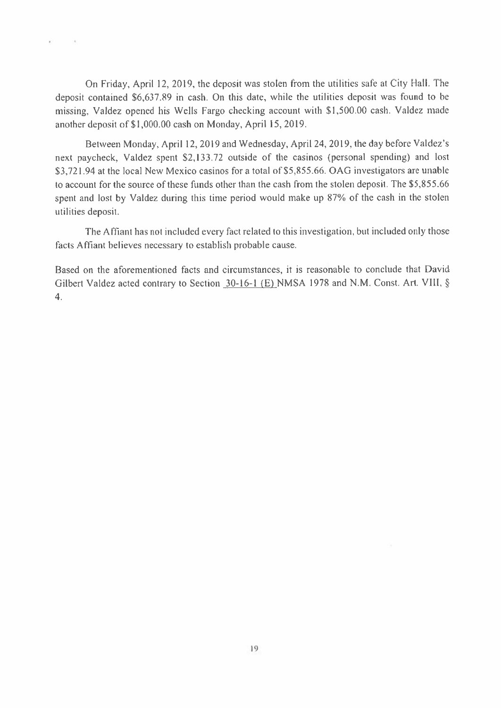On Friday, April 12, 2019, the deposit was stolen from the utilities safe at City Hall. The deposit contained \$6,637.89 in cash. On this date, while the utilities deposit was found to be missing, Valdez opened his Wells Fargo checking account with \$1,500.00 cash. Valdez made another deposit of \$1,000.00 cash on Monday, April 15, 2019.

Between Monday, April 12, 2019 and Wednesday, April 24, 2019, the day before Valdez's next paycheck, Valdez spent \$2,133.72 outside of the casinos (personal spending) and lost \$3,721.94 at the local New Mexico casinos for a total of \$5,855.66. OAG investigators are unable to account for the source of these funds other than the cash from the stolen deposit. The \$5,855.66 spent and lost by Valdez during this time period would make up 87% of the cash in the stolen utilities deposit.

The Affiant has not included every fact related to this investigation, but included only those facts Affiant believes necessary to establish probable cause.

Based on the aforementioned facts and circumstances, it is reasonable to conclude that David Gilbert Valdez acted contrary to Section 30-16-1 (E) NMSA 1978 and N.M. Const. Art. VIII, §  $4.$